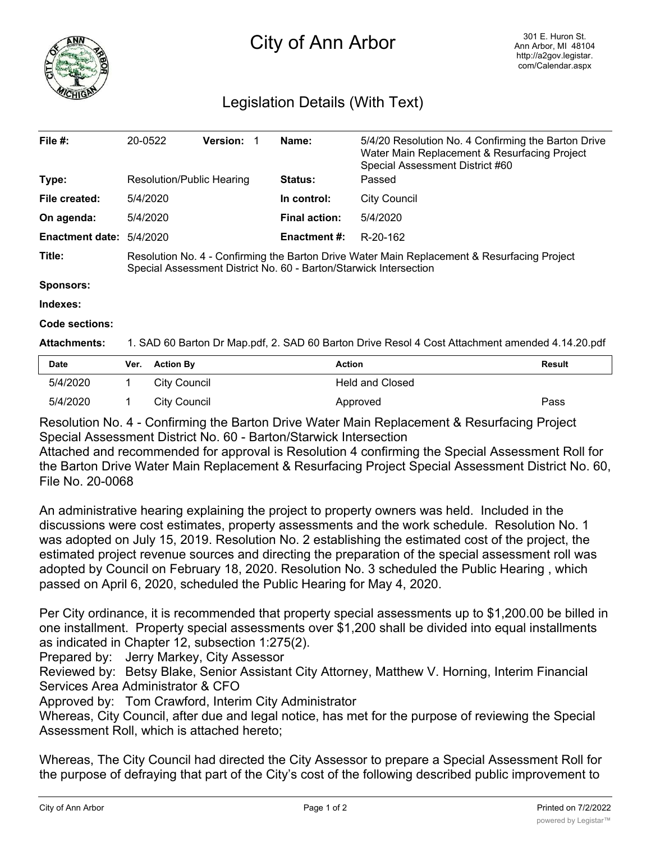

## City of Ann Arbor

## Legislation Details (With Text)

| File $#$ :             | 20-0522                                                                                                                                                          | <b>Version:</b> | Name:                | 5/4/20 Resolution No. 4 Confirming the Barton Drive<br>Water Main Replacement & Resurfacing Project<br>Special Assessment District #60 |  |  |  |
|------------------------|------------------------------------------------------------------------------------------------------------------------------------------------------------------|-----------------|----------------------|----------------------------------------------------------------------------------------------------------------------------------------|--|--|--|
| Type:                  | Resolution/Public Hearing                                                                                                                                        |                 | <b>Status:</b>       | Passed                                                                                                                                 |  |  |  |
| File created:          | 5/4/2020                                                                                                                                                         |                 | In control:          | <b>City Council</b>                                                                                                                    |  |  |  |
| On agenda:             | 5/4/2020                                                                                                                                                         |                 | <b>Final action:</b> | 5/4/2020                                                                                                                               |  |  |  |
| <b>Enactment date:</b> | 5/4/2020                                                                                                                                                         |                 | <b>Enactment #:</b>  | R-20-162                                                                                                                               |  |  |  |
| Title:                 | Resolution No. 4 - Confirming the Barton Drive Water Main Replacement & Resurfacing Project<br>Special Assessment District No. 60 - Barton/Starwick Intersection |                 |                      |                                                                                                                                        |  |  |  |
| <b>Sponsors:</b>       |                                                                                                                                                                  |                 |                      |                                                                                                                                        |  |  |  |
| Indexes:               |                                                                                                                                                                  |                 |                      |                                                                                                                                        |  |  |  |
| Code sections:         |                                                                                                                                                                  |                 |                      |                                                                                                                                        |  |  |  |
| <b>Attachments:</b>    | 1. SAD 60 Barton Dr Map.pdf, 2. SAD 60 Barton Drive Resol 4 Cost Attachment amended 4.14.20.pdf                                                                  |                 |                      |                                                                                                                                        |  |  |  |

| <b>Date</b> | Ver. Action By | Action          | <b>Result</b> |
|-------------|----------------|-----------------|---------------|
| 5/4/2020    | City Council   | Held and Closed |               |
| 5/4/2020    | City Council   | Approved        | Pass          |

Resolution No. 4 - Confirming the Barton Drive Water Main Replacement & Resurfacing Project Special Assessment District No. 60 - Barton/Starwick Intersection

Attached and recommended for approval is Resolution 4 confirming the Special Assessment Roll for the Barton Drive Water Main Replacement & Resurfacing Project Special Assessment District No. 60, File No. 20-0068

An administrative hearing explaining the project to property owners was held. Included in the discussions were cost estimates, property assessments and the work schedule. Resolution No. 1 was adopted on July 15, 2019. Resolution No. 2 establishing the estimated cost of the project, the estimated project revenue sources and directing the preparation of the special assessment roll was adopted by Council on February 18, 2020. Resolution No. 3 scheduled the Public Hearing , which passed on April 6, 2020, scheduled the Public Hearing for May 4, 2020.

Per City ordinance, it is recommended that property special assessments up to \$1,200.00 be billed in one installment. Property special assessments over \$1,200 shall be divided into equal installments as indicated in Chapter 12, subsection 1:275(2).

Prepared by: Jerry Markey, City Assessor

Reviewed by: Betsy Blake, Senior Assistant City Attorney, Matthew V. Horning, Interim Financial Services Area Administrator & CFO

Approved by: Tom Crawford, Interim City Administrator

Whereas, City Council, after due and legal notice, has met for the purpose of reviewing the Special Assessment Roll, which is attached hereto;

Whereas, The City Council had directed the City Assessor to prepare a Special Assessment Roll for the purpose of defraying that part of the City's cost of the following described public improvement to